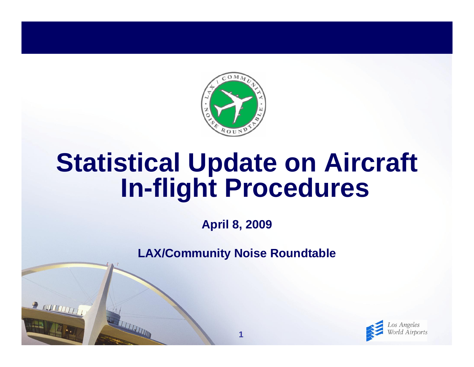

# **Statistical Update on Aircraft In-flight Procedures**

**April 8, 2009**

**LAX/Community Noise Roundtable**

**1**

R NUTTITTITTI

THE TELEVISION

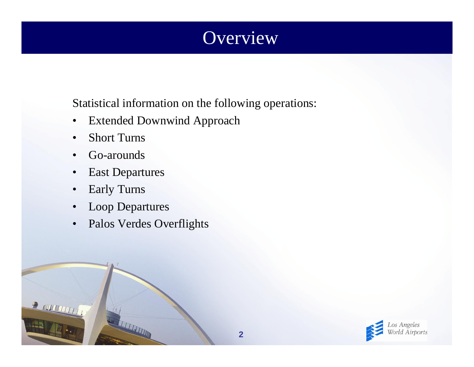## **Overview**

Statistical information on the following operations:

- $\bullet$ Extended Downwind Approach
- •Short Turns
- •Go-arounds
- $\bullet$ East Departures
- $\bullet$ Early Turns

- $\bullet$ Loop Departures
- •Palos Verdes Overflights

A THE TIME

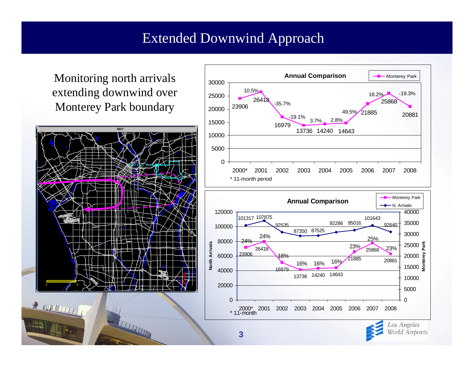#### Extended Downwind Approach

Monitoring north arrivals extending downwind over Monterey Park boundary



THE REAL PROPERTY AND IN

 $\frac{1}{2}$  and  $\frac{1}{2}$ 

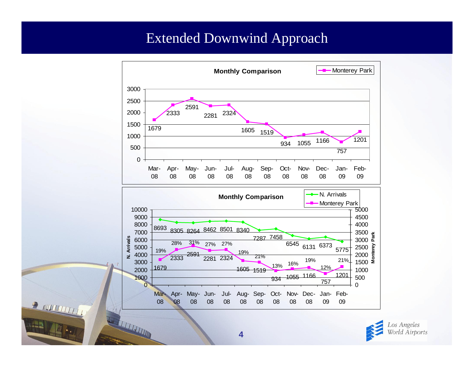#### Extended Downwind Approach



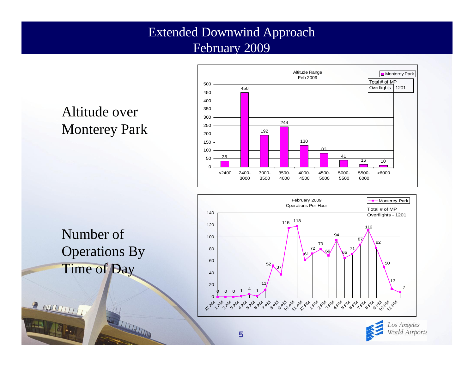#### Extended Downwind Approach February 2009

### Altitude over Monterey Park





**THE REAL PROPERTY AND** 

**P NUMBER** 





Los Angeles World Airports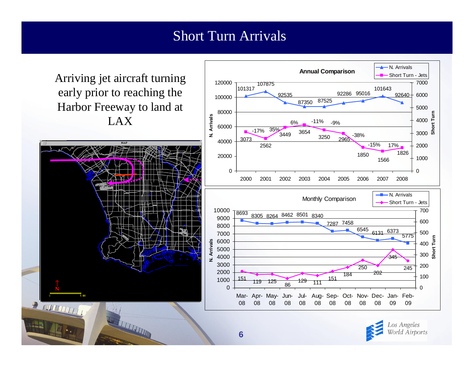#### Short Turn Arrivals

Arriving jet aircraft turning early prior to reaching the Harbor Freeway to land at LAX



**REAL PROPERTY AND** 



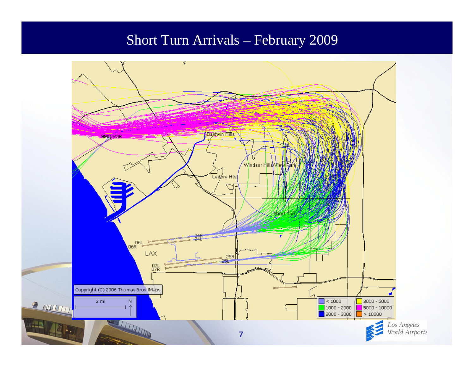#### Short Turn Arrivals – February 2009

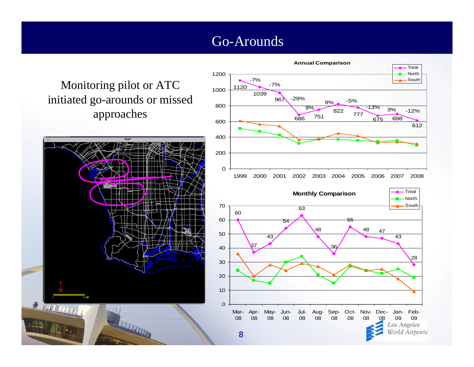#### Go-Arounds

Monitoring pilot or ATC initiated go-arounds or missed approaches



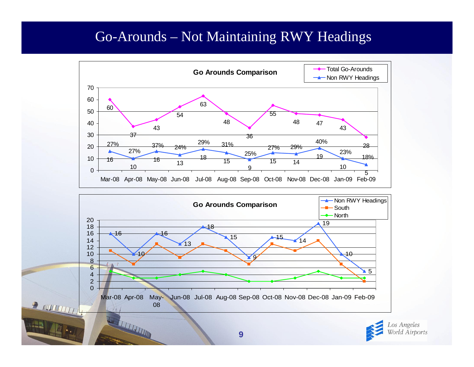#### Go-Arounds – Not Maintaining RWY Headings



Los Angeles World Airports

Mar-08 Apr-08 May- Jun-08 Jul-08 Aug-08 Sep-08 Oct-08 Nov-08 Dec-08 Jan-09 Feb-09

WELFALL

 $\mathcal{F}$  and  $\mathcal{F}$  and  $\mathcal{F}$ 

 $\left\| \cdot \right\|$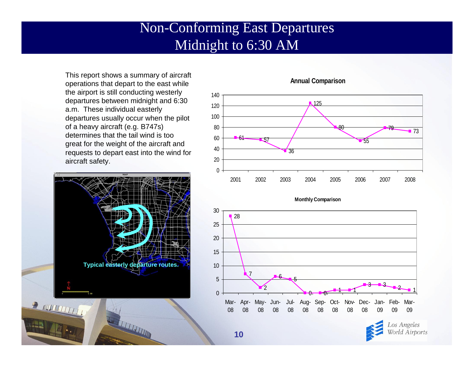#### Non-Conforming East Departures Midnight to 6:30 AM

This report shows a summary of aircraft operations that depart to the east while the airport is still conducting westerly departures between midnight and 6:30 a.m. These individual easterly departures usually occur when the pilot of a heavy aircraft (e.g. B747s) determines that the tail wind is too great for the weight of the aircraft and requests to depart east into the wind for aircraft safety.



THE TELEVISION



#### **Annual Comparison**



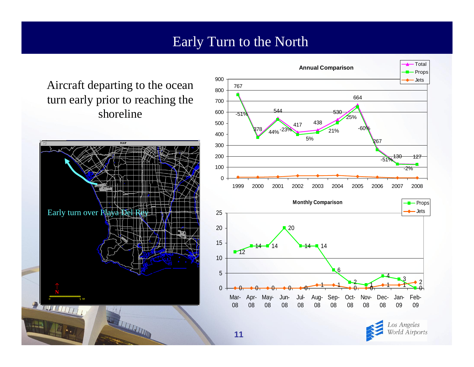#### Early Turn to the North

Aircraft departing to the ocean turn early prior to reaching the shoreline





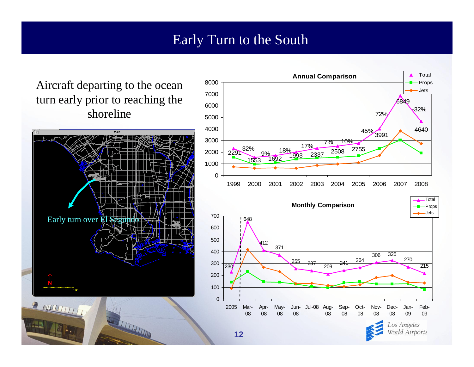#### Early Turn to the South

Aircraft departing to the ocean turn early prior to reaching the shoreline





World Airports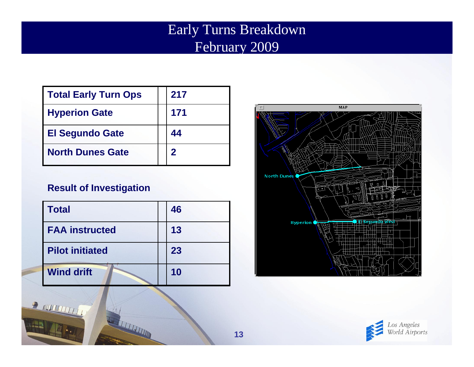#### Early Turns Breakdown February 2009

| Total Early Turn Ops   | 217         |
|------------------------|-------------|
| <b>Hyperion Gate</b>   | 171         |
| <b>El Segundo Gate</b> | 44          |
| l North Dunes Gate     | $\mathbf 2$ |

#### **Result of Investigation**

R MULTITTIT

| <b>Total</b>           | 46 |
|------------------------|----|
| I FAA instructed       | 13 |
| <b>Pilot initiated</b> | 23 |
| <b>Wind drift</b>      | 10 |

**REAL PROPERTY AND** 



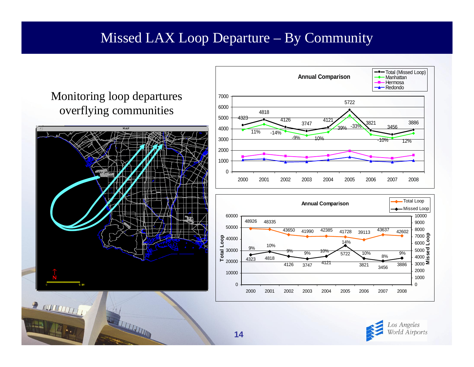#### Missed LAX Loop Departure – By Community

#### Monitoring loop departures overflying communities



**THE REAL PROPERTY AND** 

 $\frac{1}{2}$  automatic  $\frac{1}{2}$ 





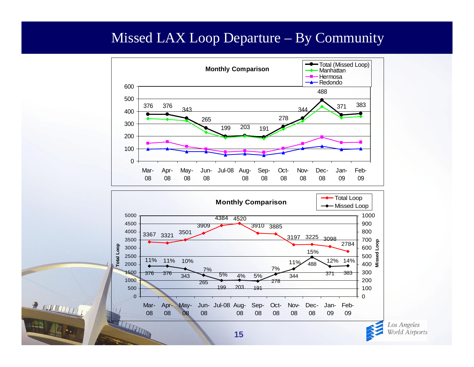#### Missed LAX Loop Departure – By Community



Los Angeles World Airports